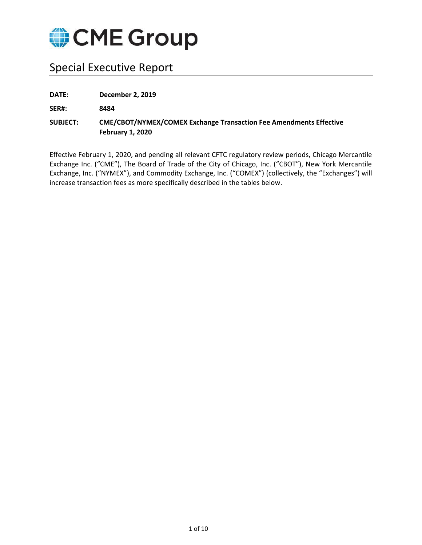

# Special Executive Report

**DATE: December 2, 2019**

**SER#: 8484**

**SUBJECT: CME/CBOT/NYMEX/COMEX Exchange Transaction Fee Amendments Effective February 1, 2020**

Effective February 1, 2020, and pending all relevant CFTC regulatory review periods, Chicago Mercantile Exchange Inc. ("CME"), The Board of Trade of the City of Chicago, Inc. ("CBOT"), New York Mercantile Exchange, Inc. ("NYMEX"), and Commodity Exchange, Inc. ("COMEX") (collectively, the "Exchanges") will increase transaction fees as more specifically described in the tables below.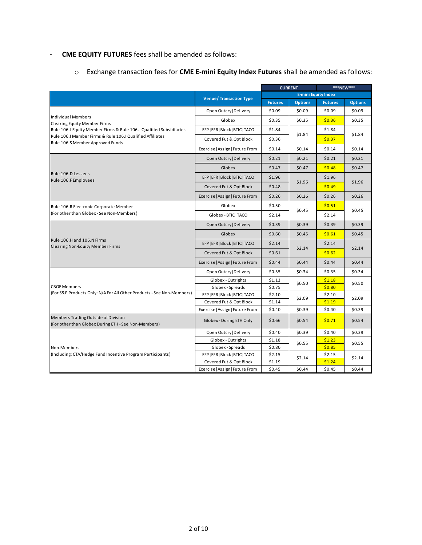## *-* **CME EQUITY FUTURES** fees shall be amended as follows:

o Exchange transaction fees for **CME E-mini Equity Index Futures** shall be amended as follows:

|                                                                                               |                                 |                | <b>CURRENT</b> | ***NEW***                  |                |  |
|-----------------------------------------------------------------------------------------------|---------------------------------|----------------|----------------|----------------------------|----------------|--|
|                                                                                               |                                 |                |                | <b>E-mini Equity Index</b> |                |  |
|                                                                                               | <b>Venue/ Transaction Type</b>  | <b>Futures</b> | <b>Options</b> | <b>Futures</b>             | <b>Options</b> |  |
|                                                                                               | Open Outcry   Delivery          | \$0.09         | \$0.09         | \$0.09                     | \$0.09         |  |
| <b>Individual Members</b><br><b>Clearing Equity Member Firms</b>                              | Globex                          | \$0.35         | \$0.35         | \$0.36                     | \$0.35         |  |
| Rule 106.J Equity Member Firms & Rule 106.J Qualified Subsidiaries                            | EFP   EFR   Block   BTIC   TACO | \$1.84         | \$1.84         | \$1.84                     | \$1.84         |  |
| Rule 106.I Member Firms & Rule 106.I Qualified Affiliates<br>Rule 106.S Member Approved Funds | Covered Fut & Opt Block         | \$0.36         |                | \$0.37                     |                |  |
|                                                                                               | Exercise   Assign   Future From | \$0.14         | \$0.14         | \$0.14                     | \$0.14         |  |
|                                                                                               | Open Outcry   Delivery          | \$0.21         | \$0.21         | \$0.21                     | \$0.21         |  |
|                                                                                               | Globex                          | \$0.47         | \$0.47         | \$0.48                     | \$0.47         |  |
| Rule 106.D Lessees<br>Rule 106.F Employees                                                    | EFP   EFR   Block   BTIC   TACO | \$1.96         |                | \$1.96                     | \$1.96         |  |
|                                                                                               | Covered Fut & Opt Block         | \$0.48         | \$1.96         | \$0.49                     |                |  |
|                                                                                               | Exercise   Assign   Future From | \$0.26         | \$0.26         | \$0.26                     | \$0.26         |  |
| Rule 106.R Electronic Corporate Member                                                        | Globex                          | \$0.50         |                | \$0.51                     | \$0.45         |  |
| (For other than Globex - See Non-Members)                                                     | Globex - BTIC   TACO            | \$2.14         | \$0.45         | \$2.14                     |                |  |
|                                                                                               | Open Outcry   Delivery          | \$0.39         | \$0.39         | \$0.39                     | \$0.39         |  |
|                                                                                               | Globex                          | \$0.60         | \$0.45         | \$0.61                     | \$0.45         |  |
| Rule 106.H and 106.N Firms<br><b>Clearing Non-Equity Member Firms</b>                         | EFP   EFR   Block   BTIC   TACO | \$2.14         |                | \$2.14                     |                |  |
|                                                                                               | Covered Fut & Opt Block         | \$0.61         | \$2.14         | \$0.62                     | \$2.14         |  |
|                                                                                               | Exercise   Assign   Future From | \$0.44         | \$0.44         | \$0.44                     | \$0.44         |  |
|                                                                                               | Open Outcry   Delivery          | \$0.35         | \$0.34         | \$0.35                     | \$0.34         |  |
|                                                                                               | Globex - Outrights              | \$1.13         | \$0.50         | \$1.18                     | \$0.50         |  |
| <b>CBOE Members</b>                                                                           | Globex - Spreads                | \$0.75         |                | \$0.80                     |                |  |
| (For S&P Products Only; N/A For All Other Products - See Non-Members)                         | EFP   EFR   Block   BTIC   TACO | \$2.10         | \$2.09         | \$2.10                     | \$2.09         |  |
|                                                                                               | Covered Fut & Opt Block         | \$1.14         |                | \$1.19                     |                |  |
|                                                                                               | Exercise   Assign   Future From | \$0.40         | \$0.39         | \$0.40                     | \$0.39         |  |
| Members Trading Outside of Division<br>(For other than Globex During ETH - See Non-Members)   | Globex - During ETH Only        | \$0.66         | \$0.54         | \$0.71                     | \$0.54         |  |
|                                                                                               | Open Outcry   Delivery          | \$0.40         | \$0.39         | \$0.40                     | \$0.39         |  |
|                                                                                               | Globex - Outrights              | \$1.18         | \$0.55         | \$1.23                     | \$0.55         |  |
| Non-Members                                                                                   | Globex - Spreads                | \$0.80         |                | \$0.85                     |                |  |
| (Including: CTA/Hedge Fund Incentive Program Participants)                                    | EFP   EFR   Block   BTIC   TACO | \$2.15         | \$2.14         | \$2.15                     | \$2.14         |  |
|                                                                                               | Covered Fut & Opt Block         | \$1.19         |                | \$1.24                     |                |  |
|                                                                                               | Exercise   Assign   Future From | \$0.45         | \$0.44         | \$0.45                     | \$0.44         |  |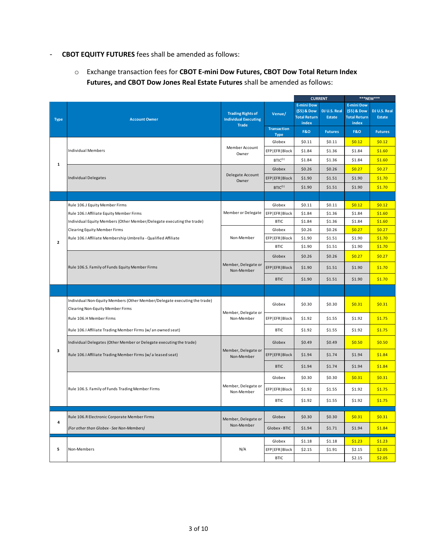#### *-* **CBOT EQUITY FUTURES** fees shall be amended as follows:

o Exchange transaction fees for **CBOT E-mini Dow Futures, CBOT Dow Total Return Index Futures, and CBOT Dow Jones Real Estate Futures** shall be amended as follows:

|              |                                                                                                               | <b>CURRENT</b>                                                          |                                   |                                                                  | ***NEW***                     |                                                                  |                        |
|--------------|---------------------------------------------------------------------------------------------------------------|-------------------------------------------------------------------------|-----------------------------------|------------------------------------------------------------------|-------------------------------|------------------------------------------------------------------|------------------------|
| <b>Type</b>  | <b>Account Owner</b>                                                                                          | <b>Trading Rights of</b><br><b>Individual Executing</b><br><b>Trade</b> | Venue/                            | <b>E-mini Dow</b><br>(\$5) & Dow<br><b>Total Return</b><br>index | DJ U.S. Real<br><b>Estate</b> | <b>E-mini Dow</b><br>(\$5) & Dow<br><b>Total Return</b><br>index | DJ U.S. Real<br>Estate |
|              |                                                                                                               |                                                                         | <b>Transaction</b><br><b>Type</b> | <b>F&amp;O</b>                                                   | <b>Futures</b>                | <b>F&amp;O</b>                                                   | <b>Futures</b>         |
|              |                                                                                                               |                                                                         | Globex                            | \$0.11                                                           | \$0.11                        | \$0.12                                                           | \$0.12                 |
|              | Individual Members                                                                                            | Member Account<br>Owner                                                 | EFP EFR Block                     | \$1.84                                                           | \$1.36                        | \$1.84                                                           | \$1.60                 |
| 1            |                                                                                                               |                                                                         | $BTIC^{(1)}$                      | \$1.84                                                           | \$1.36                        | \$1.84                                                           | \$1.60                 |
|              |                                                                                                               |                                                                         | Globex                            | \$0.26                                                           | \$0.26                        | \$0.27                                                           | \$0.27                 |
|              | <b>Individual Delegates</b>                                                                                   | Delegate Account<br>Owner                                               | EFP EFR Block                     | \$1.90                                                           | \$1.51                        | \$1.90                                                           | \$1.70                 |
|              |                                                                                                               |                                                                         | $BTIC^{(1)}$                      | \$1.90                                                           | \$1.51                        | \$1.90                                                           | \$1.70                 |
|              |                                                                                                               |                                                                         |                                   |                                                                  |                               |                                                                  |                        |
|              | Rule 106.J Equity Member Firms                                                                                |                                                                         | Globex                            | \$0.11                                                           | \$0.11                        | \$0.12                                                           | \$0.12                 |
|              | Rule 106.I Affiliate Equity Member Firms                                                                      | Member or Delegate                                                      | EFP   EFR   Block                 | \$1.84                                                           | \$1.36                        | \$1.84                                                           | \$1.60                 |
|              | Individual Equity Members (Other Member/Delegate executing the trade)                                         |                                                                         | <b>BTIC</b>                       | \$1.84                                                           | \$1.36                        | \$1.84                                                           | \$1.60                 |
|              | <b>Clearing Equity Member Firms</b>                                                                           |                                                                         | Globex                            | \$0.26                                                           | \$0.26                        | \$0.27                                                           | \$0.27                 |
| $\mathbf{z}$ | Rule 106.I Affiliate Membership Umbrella - Qualified Affiliate                                                | Non-Member                                                              | EFP EFR Block                     | \$1.90                                                           | \$1.51                        | \$1.90                                                           | \$1.70                 |
|              |                                                                                                               |                                                                         | <b>BTIC</b>                       | \$1.90                                                           | \$1.51                        | \$1.90                                                           | \$1.70                 |
|              | Rule 106.S. Family of Funds Equity Member Firms                                                               |                                                                         | Globex                            | \$0.26                                                           | \$0.26                        | \$0.27                                                           | \$0.27                 |
|              |                                                                                                               | Member, Delegate or<br>Non-Member                                       | EFP EFR Block                     | \$1.90                                                           | \$1.51                        | \$1.90                                                           | \$1.70                 |
|              |                                                                                                               |                                                                         | <b>BTIC</b>                       | \$1.90                                                           | \$1.51                        | \$1.90                                                           | \$1.70                 |
|              |                                                                                                               |                                                                         |                                   |                                                                  |                               |                                                                  |                        |
|              | Individual Non-Equity Members (Other Member/Delegate executing the trade)<br>Clearing Non-Equity Member Firms | Member, Delegate or                                                     | Globex                            | \$0.30                                                           | \$0.30                        | \$0.31                                                           | \$0.31                 |
|              | Rule 106.H Member Firms                                                                                       | Non-Member                                                              | EFP EFR Block                     | \$1.92                                                           | \$1.55                        | \$1.92                                                           | \$1.75                 |
|              | Rule 106.I Affiliate Trading Member Firms (w/ an owned seat)                                                  |                                                                         | <b>BTIC</b>                       | \$1.92                                                           | \$1.55                        | \$1.92                                                           | \$1.75                 |
|              | Individual Delegates (Other Member or Delegate executing the trade)                                           |                                                                         | Globex                            | \$0.49                                                           | \$0.49                        | \$0.50                                                           | \$0.50                 |
| з            | Rule 106.I Affiliate Trading Member Firms (w/a leased seat)                                                   | Member, Delegate or<br>Non-Member                                       | EFP EFR Block                     | \$1.94                                                           | \$1.74                        | \$1.94                                                           | \$1.84                 |
|              |                                                                                                               |                                                                         | <b>BTIC</b>                       | \$1.94                                                           | \$1.74                        | \$1.94                                                           | \$1.84                 |
|              |                                                                                                               |                                                                         | Globex                            | \$0.30                                                           | \$0.30                        | \$0.31                                                           | \$0.31                 |
|              | Rule 106.S. Family of Funds Trading Member Firms                                                              | Member, Delegate or<br>Non-Member                                       | EFP EFR Block                     | \$1.92                                                           | \$1.55                        | \$1.92                                                           | \$1.75                 |
|              |                                                                                                               |                                                                         | <b>BTIC</b>                       | \$1.92                                                           | \$1.55                        | \$1.92                                                           | \$1.75                 |
|              | Rule 106.R Electronic Corporate Member Firms                                                                  | Member, Delegate or                                                     | Globex                            | \$0.30                                                           | \$0.30                        | \$0.31                                                           | \$0.31                 |
| 4            | (For other than Globex - See Non-Members)                                                                     | Non-Member                                                              | Globex - BTIC                     | \$1.94                                                           | \$1.71                        | \$1.94                                                           | \$1.84                 |
|              |                                                                                                               |                                                                         | Globex                            | \$1.18                                                           | \$1.18                        | \$1.23                                                           | \$1.23                 |
| 5            | Non-Members                                                                                                   | N/A                                                                     | EFP   EFR   Block                 | \$2.15                                                           | \$1.91                        | \$2.15                                                           | \$2.05                 |
|              |                                                                                                               |                                                                         | <b>BTIC</b>                       |                                                                  |                               | \$2.15                                                           | \$2.05                 |
|              |                                                                                                               |                                                                         |                                   |                                                                  |                               |                                                                  |                        |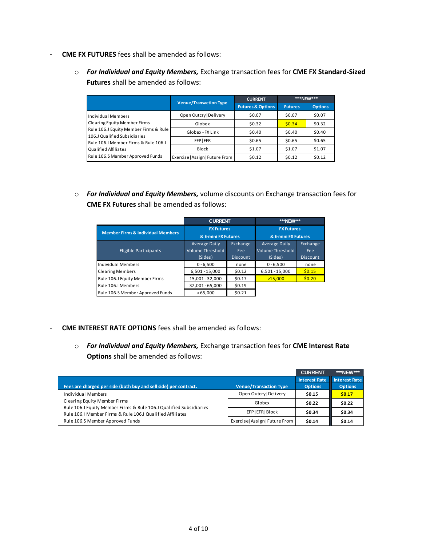- *-* **CME FX FUTURES** fees shall be amended as follows:
	- o *For Individual and Equity Members,* Exchange transaction fees for **CME FX Standard-Sized Futures** shall be amended as follows:

|                                                                       | <b>Venue/Transaction Type</b>   | <b>CURRENT</b>               |                | $***$ NFW*** |
|-----------------------------------------------------------------------|---------------------------------|------------------------------|----------------|--------------|
|                                                                       |                                 | <b>Futures &amp; Options</b> | <b>Futures</b> | Options      |
| Individual Members<br><b>Clearing Equity Member Firms</b>             | Open Outcry   Delivery          | \$0.07                       | \$0.07         | \$0.07       |
|                                                                       | Globex                          | \$0.32                       | \$0.34         | \$0.32       |
| Rule 106.J Equity Member Firms & Rule<br>106.J Qualified Subsidiaries | Globex - FX Link                | \$0.40                       | \$0.40         | \$0.40       |
| Rule 106.I Member Firms & Rule 106.I                                  | <b>EFPIEFR</b>                  | \$0.65                       | \$0.65         | \$0.65       |
| Qualified Affiliates                                                  | <b>Block</b>                    | \$1.07                       | \$1.07         | \$1.07       |
| Rule 106.S Member Approved Funds                                      | Exercise   Assign   Future From | \$0.12                       | \$0.12         | \$0.12       |

o *For Individual and Equity Members,* volume discounts on Exchange transaction fees for **CME FX Futures** shall be amended as follows:

|                                              | <b>CURRENT</b>          |                 | ***NEW***           |                 |  |
|----------------------------------------------|-------------------------|-----------------|---------------------|-----------------|--|
| <b>Member Firms &amp; Individual Members</b> | <b>FX Futures</b>       |                 | <b>FX Futures</b>   |                 |  |
|                                              | & E-mini FX Futures     |                 | & E-mini FX Futures |                 |  |
|                                              | Average Daily           | Exchange        | Average Daily       | Exchange        |  |
| Eligible Participants                        | <b>Volume Threshold</b> | Fee:            | Volume Threshold    | Fee:            |  |
|                                              | (Sides)                 | <b>Discount</b> | (Sides)             | <b>Discount</b> |  |
| <b>Individual Members</b>                    | $0 - 6,500$             | none            | $0 - 6,500$         | none            |  |
| <b>Clearing Members</b>                      | $6,501 - 15,000$        | \$0.12          | $6,501 - 15,000$    | \$0.15          |  |
| Rule 106.J Equity Member Firms               | 15,001 - 32,000         | \$0.17          | >15.000             | \$0.20          |  |
| Rule 106.I Members                           | 32,001 - 65,000         | \$0.19          |                     |                 |  |
| Rule 106.S Member Approved Funds             | >65.000                 | \$0.21          |                     |                 |  |

- *-* **CME INTEREST RATE OPTIONS** fees shall be amended as follows:
	- o *For Individual and Equity Members,* Exchange transaction fees for **CME Interest Rate Options** shall be amended as follows:

|                                                                                                                                 |                                 | <b>CURRENT</b>       | ***NEW***            |
|---------------------------------------------------------------------------------------------------------------------------------|---------------------------------|----------------------|----------------------|
|                                                                                                                                 |                                 | <b>Interest Rate</b> | <b>Interest Rate</b> |
| Fees are charged per side (both buy and sell side) per contract.                                                                | <b>Venue/Transaction Type</b>   | <b>Options</b>       | <b>Options</b>       |
| Individual Members                                                                                                              | Open Outcry   Delivery          | \$0.15               | \$0.17               |
| Clearing Equity Member Firms                                                                                                    | Globex                          | \$0.22               | \$0.22               |
| Rule 106.J Equity Member Firms & Rule 106.J Qualified Subsidiaries<br>Rule 106.I Member Firms & Rule 106.I Qualified Affiliates | <b>EFPIEFRIBIOCK</b>            | \$0.34               | \$0.34               |
| Rule 106.S Member Approved Funds                                                                                                | Exercise   Assign   Future From | \$0.14               | \$0.14               |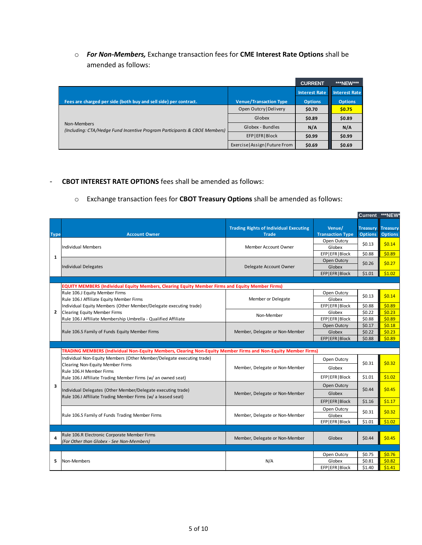o *For Non-Members,* Exchange transaction fees for **CME Interest Rate Options** shall be amended as follows:

|                                                                                          |                                 | <b>CURRENT</b>       | ***NEW***            |
|------------------------------------------------------------------------------------------|---------------------------------|----------------------|----------------------|
|                                                                                          |                                 | <b>Interest Rate</b> | <b>Interest Rate</b> |
| Fees are charged per side (both buy and sell side) per contract.                         | <b>Venue/Transaction Type</b>   | <b>Options</b>       | <b>Options</b>       |
|                                                                                          | Open Outcry   Delivery          | \$0.70               | \$0.75               |
|                                                                                          | Globex                          | \$0.89               | \$0.89               |
| Non-Members<br>(Including: CTA/Hedge Fund Incentive Program Participants & CBOE Members) | Globex - Bundles                | N/A                  | N/A                  |
|                                                                                          | EFP   EFR   Block               | \$0.99               | \$0.99               |
|                                                                                          | Exercise   Assign   Future From | \$0.69               | \$0.69               |

### *-* **CBOT INTEREST RATE OPTIONS** fees shall be amended as follows:

#### o Exchange transaction fees for **CBOT Treasury Options** shall be amended as follows:

|                         |                                                                                                                              |                                                               |                                   | Current ***NEW*                   |                                   |
|-------------------------|------------------------------------------------------------------------------------------------------------------------------|---------------------------------------------------------------|-----------------------------------|-----------------------------------|-----------------------------------|
| <b>Type</b>             | <b>Account Owner</b>                                                                                                         | <b>Trading Rights of Individual Executing</b><br><b>Trade</b> | Venue/<br><b>Transaction Type</b> | <b>Treasury</b><br><b>Options</b> | <b>Treasury</b><br><b>Options</b> |
|                         |                                                                                                                              |                                                               | Open Outcry                       |                                   |                                   |
|                         | <b>Individual Members</b>                                                                                                    | Member Account Owner                                          | Globex                            | \$0.13                            | \$0.14                            |
|                         |                                                                                                                              |                                                               | EFP EFR Block                     | \$0.88                            | \$0.89                            |
| 1                       |                                                                                                                              |                                                               | Open Outcry                       |                                   |                                   |
|                         | <b>Individual Delegates</b>                                                                                                  | Delegate Account Owner                                        | Globex                            | \$0.26                            | \$0.27                            |
|                         |                                                                                                                              |                                                               | EFP EFR Block                     | \$1.01                            | \$1.02                            |
|                         |                                                                                                                              |                                                               |                                   |                                   |                                   |
|                         | EQUITY MEMBERS (Individual Equity Members, Clearing Equity Member Firms and Equity Member Firms)                             |                                                               |                                   |                                   |                                   |
|                         | Rule 106.J Equity Member Firms                                                                                               |                                                               | Open Outcry                       | \$0.13                            | \$0.14                            |
|                         | Rule 106.I Affiliate Equity Member Firms                                                                                     | Member or Delegate                                            | Globex                            |                                   |                                   |
|                         | Individual Equity Members (Other Member/Delegate executing trade)                                                            |                                                               | EFP EFR Block                     | \$0.88                            | \$0.89                            |
| $\overline{2}$          | <b>Clearing Equity Member Firms</b>                                                                                          | Non-Member                                                    | Globex                            | \$0.22                            | \$0.23                            |
|                         | Rule 106.I Affiliate Membership Umbrella - Qualified Affiliate                                                               |                                                               | EFP EFR Block                     | \$0.88                            | \$0.89                            |
|                         |                                                                                                                              |                                                               | Open Outcry                       | \$0.17                            | \$0.18                            |
|                         | Rule 106.S Family of Funds Equity Member Firms                                                                               | Member, Delegate or Non-Member                                | Globex                            | \$0.22                            | \$0.23                            |
|                         |                                                                                                                              |                                                               | EFP EFR Block                     | \$0.88                            | \$0.89                            |
|                         |                                                                                                                              |                                                               |                                   |                                   |                                   |
|                         | TRADING MEMBERS (Individual Non-Equity Members, Clearing Non-Equity Member Firms and Non-Equity Member Firms)                |                                                               |                                   |                                   |                                   |
|                         | Individual Non-Equity Members (Other Member/Delegate executing trade)                                                        |                                                               | Open Outcry                       |                                   |                                   |
|                         | <b>Clearing Non-Equity Member Firms</b>                                                                                      | Member, Delegate or Non-Member<br>Globex                      |                                   | \$0.31                            | \$0.32                            |
|                         | Rule 106.H Member Firms                                                                                                      |                                                               |                                   |                                   |                                   |
|                         | Rule 106.I Affiliate Trading Member Firms (w/ an owned seat)                                                                 |                                                               | EFP EFR Block                     | \$1.01                            | \$1.02                            |
| $\overline{\mathbf{3}}$ |                                                                                                                              |                                                               | Open Outcry                       | \$0.44                            | \$0.45                            |
|                         | Individual Delegates (Other Member/Delegate executing trade)<br>Rule 106.I Affiliate Trading Member Firms (w/ a leased seat) | Member, Delegate or Non-Member                                | Globex                            |                                   |                                   |
|                         |                                                                                                                              |                                                               | EFP EFR Block                     | \$1.16                            | \$1.17                            |
|                         |                                                                                                                              |                                                               | Open Outcry                       |                                   |                                   |
|                         | Rule 106.S Family of Funds Trading Member Firms                                                                              | Member, Delegate or Non-Member                                | Globex                            | \$0.31                            | \$0.32                            |
|                         |                                                                                                                              |                                                               | EFP EFR Block                     | \$1.01                            | \$1.02                            |
|                         |                                                                                                                              |                                                               |                                   |                                   |                                   |
| 4                       | Rule 106.R Electronic Corporate Member Firms                                                                                 |                                                               |                                   |                                   |                                   |
|                         | (For Other than Globex - See Non-Members)                                                                                    | Member, Delegate or Non-Member                                | Globex                            | \$0.44                            | \$0.45                            |
|                         |                                                                                                                              |                                                               |                                   |                                   |                                   |
|                         |                                                                                                                              |                                                               | Open Outcry                       | \$0.75                            | \$0.76                            |
| 5                       | Non-Members                                                                                                                  | N/A                                                           | Globex                            | \$0.81                            | \$0.82                            |
|                         |                                                                                                                              |                                                               | EFP EFR Block                     | \$1.40                            | \$1.41                            |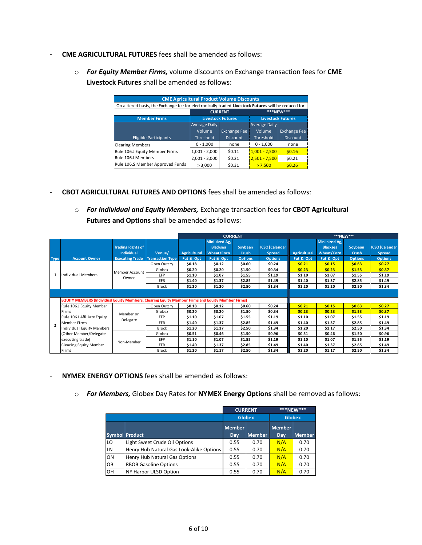- *-* **CME AGRICULTURAL FUTURES** fees shall be amended as follows:
	- o *For Equity Member Firms,* volume discounts on Exchange transaction fees for **CME Livestock Futures** shall be amended as follows:

| <b>CME Agricultural Product Volume Discounts</b>                                                    |                             |                                                      |                      |                     |  |  |  |  |  |
|-----------------------------------------------------------------------------------------------------|-----------------------------|------------------------------------------------------|----------------------|---------------------|--|--|--|--|--|
| On a tiered basis, the Exchange fee for electronically traded Livestock Futures will be reduced for |                             |                                                      |                      |                     |  |  |  |  |  |
|                                                                                                     | ***NFW***<br><b>CURRENT</b> |                                                      |                      |                     |  |  |  |  |  |
| <b>Member Firms</b>                                                                                 |                             | <b>Livestock Futures</b><br><b>Livestock Futures</b> |                      |                     |  |  |  |  |  |
|                                                                                                     | Average Daily               |                                                      | <b>Average Daily</b> |                     |  |  |  |  |  |
|                                                                                                     | Volume                      | <b>Exchange Fee</b>                                  | Volume               | <b>Exchange Fee</b> |  |  |  |  |  |
| <b>Eligible Participants</b>                                                                        | Threshold                   | <b>Discount</b>                                      | Threshold            | <b>Discount</b>     |  |  |  |  |  |
| <b>Clearing Members</b>                                                                             | $0 - 1,000$                 | none                                                 | $0 - 1,000$          | none                |  |  |  |  |  |
| Rule 106.J Equity Member Firms                                                                      | $1,001 - 2,000$             | \$0.11                                               | $1,001 - 2,500$      | \$0.16              |  |  |  |  |  |
| Rule 106.I Members                                                                                  | $2,001 - 3,000$             | \$0.21                                               | $2,501 - 7,500$      | \$0.21              |  |  |  |  |  |
| Rule 106.S Member Approved Funds                                                                    | > 3,000                     | \$0.31                                               | >7.500               | \$0.26              |  |  |  |  |  |

- *-* **CBOT AGRICULTURAL FUTURES AND OPTIONS** fees shall be amended as follows:
	- o *For Individual and Equity Members,* Exchange transaction fees for **CBOT Agricultural Futures and Options** shall be amended as follows:

|                          |                                                                                                         |                          |                         |              | <b>CURRENT</b>  |                |                        | ***NEW***           |                 |                |                        |
|--------------------------|---------------------------------------------------------------------------------------------------------|--------------------------|-------------------------|--------------|-----------------|----------------|------------------------|---------------------|-----------------|----------------|------------------------|
|                          |                                                                                                         |                          |                         |              | Mini-sized Ag,  |                |                        |                     | Mini-sized Ag,  |                |                        |
|                          |                                                                                                         | <b>Trading Rights of</b> |                         |              | <b>Blacksea</b> | Soybean        | <b>ICSO   Calendar</b> |                     | <b>Blacksea</b> | Soybean        | <b>ICSO   Calendar</b> |
|                          |                                                                                                         | <b>Individual</b>        | Venue/                  | Agricultural | Wheat/Corn      | <b>Crush</b>   | Spread                 | <b>Agricultural</b> | Wheat/Corn      | <b>Crush</b>   | <b>Spread</b>          |
| <b>Type</b>              | <b>Account Owner</b>                                                                                    | <b>Executing Trade</b>   | <b>Transaction Type</b> | Fut & Opt    | Fut & Opt       | <b>Options</b> | <b>Options</b>         | Fut & Opt           | Fut & Opt       | <b>Options</b> | <b>Options</b>         |
|                          |                                                                                                         |                          | Open Outcry             | \$0.18       | \$0.12          | \$0.60         | \$0.24                 | \$0.21              | \$0.15          | \$0.63         | \$0.27                 |
|                          |                                                                                                         | Member Account           | Globex                  | \$0.20       | \$0.20          | \$1.50         | \$0.34                 | \$0.23              | \$0.23          | \$1.53         | \$0.37                 |
| 1                        | Individual Members                                                                                      | Owner                    | <b>EFP</b>              | \$1.10       | \$1.07          | \$1.55         | \$1.19                 | \$1.10              | \$1.07          | \$1.55         | \$1.19                 |
|                          |                                                                                                         |                          | EFR                     | \$1.40       | \$1.37          | \$2.85         | \$1.49                 | \$1.40              | \$1.37          | \$2.85         | \$1.49                 |
|                          |                                                                                                         |                          | Block                   | \$1.20       | \$1.20          | \$2.50         | \$1.34                 | \$1.20              | \$1.20          | \$2.50         | \$1.34                 |
|                          |                                                                                                         |                          |                         |              |                 |                |                        |                     |                 |                |                        |
|                          | <b>EQUITY MEMBERS (Individual Equity Members, Clearing Equity Member Firms and Equity Member Firms)</b> |                          |                         |              |                 |                |                        |                     |                 |                |                        |
|                          | Rule 106.J Equity Member                                                                                |                          | Open Outcry             | \$0.18       | \$0.12          | \$0.60         | \$0.24                 | \$0.21              | \$0.15          | \$0.63         | \$0.27                 |
|                          | Firms                                                                                                   |                          | Globex                  | \$0.20       | \$0.20          | \$1.50         | \$0.34                 | \$0.23              | \$0.23          | \$1.53         | \$0.37                 |
|                          | Rule 106.I Affiliate Equity                                                                             | Member or                | EFP                     | \$1.10       | \$1.07          | \$1.55         | \$1.19                 | \$1.10              | \$1.07          | \$1.55         | \$1.19                 |
| $\overline{\phantom{a}}$ | Member Firms                                                                                            | Delegate                 | <b>EFR</b>              | \$1.40       | \$1.37          | \$2.85         | \$1.49                 | \$1.40              | \$1.37          | \$2.85         | \$1.49                 |
|                          | Individual Equity Members                                                                               |                          | <b>Block</b>            | \$1.20       | \$1.17          | \$2.50         | \$1.34                 | \$1.20              | \$1.17          | \$2.50         | \$1.34                 |
|                          | (Other Member/Delegate                                                                                  |                          | Globex                  | \$0.51       | \$0.46          | \$1.50         | \$0.96                 | \$0.51              | \$0.46          | \$1.50         | \$0.96                 |
|                          | executing trade)                                                                                        | Non-Member               | EFP                     | \$1.10       | \$1.07          | \$1.55         | \$1.19                 | \$1.10              | \$1.07          | \$1.55         | \$1.19                 |
|                          | <b>Clearing Equity Member</b>                                                                           |                          | EFR                     | \$1.40       | \$1.37          | \$2.85         | \$1.49                 | \$1.40              | \$1.37          | \$2.85         | \$1.49                 |
|                          | Firms                                                                                                   |                          | Block                   | \$1.20       | \$1.17          | \$2.50         | \$1.34                 | \$1.20              | \$1.17          | \$2.50         | \$1.34                 |

- *-* **NYMEX ENERGY OPTIONS** fees shall be amended as follows:
	- o *For Members,* Globex Day Rates for **NYMEX Energy Options** shall be removed as follows:

|    |                                          |                                | <b>CURRENT</b> | ***NEW***            |               |
|----|------------------------------------------|--------------------------------|----------------|----------------------|---------------|
|    |                                          | <b>Globex</b><br><b>Globex</b> |                |                      |               |
|    | <b>Symbol Product</b>                    | <b>Member</b><br>Day           | <b>Member</b>  | <b>Member</b><br>Day | <b>Member</b> |
| LO | Light Sweet Crude Oil Options            | 0.55                           | 0.70           | N/A                  | 0.70          |
| LN | Henry Hub Natural Gas Look-Alike Options | 0.55                           | 0.70           | N/A                  | 0.70          |
| ON | Henry Hub Natural Gas Options            | 0.55                           | 0.70           | N/A                  | 0.70          |
| OB | <b>RBOB Gasoline Options</b>             | 0.55                           | 0.70           | N/A                  | 0.70          |
| OH | <b>NY Harbor ULSD Option</b>             | 0.55                           | 0.70           | N/A                  | 0.70          |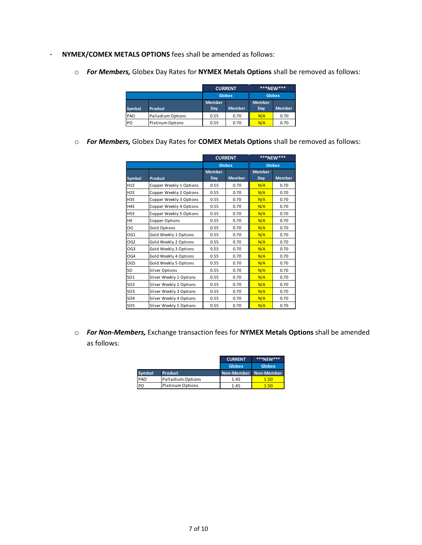- *-* **NYMEX/COMEX METALS OPTIONS** fees shall be amended as follows:
	- o *For Members,* Globex Day Rates for **NYMEX Metals Options** shall be removed as follows:

|        |                   |               | <b>CURRENT</b> | ***NEW***     |               |
|--------|-------------------|---------------|----------------|---------------|---------------|
|        |                   | <b>Globex</b> |                | <b>Globex</b> |               |
|        |                   | <b>Member</b> |                | <b>Member</b> |               |
| Symbol | Product           | Dav           | <b>Member</b>  | Day           | <b>Member</b> |
| PAO    | Palladium Options | 0.55          | 0.70           | N/A           | 0.70          |
| PO.    | Platinum Options  | 0.55          | 0.70           | N/A           | 0.70          |

o *For Members,* Globex Day Rates for **COMEX Metals Options** shall be removed as follows:

|                  |                         |                      | <b>CURRENT</b> | ***NEW***            |               |  |
|------------------|-------------------------|----------------------|----------------|----------------------|---------------|--|
|                  |                         |                      | <b>Globex</b>  | <b>Globex</b>        |               |  |
| Symbol           | Product                 | <b>Member</b><br>Day | <b>Member</b>  | <b>Member</b><br>Day | <b>Member</b> |  |
| H <sub>1</sub> E | Copper Weekly 1 Options | 0.55                 | 0.70           | N/A                  | 0.70          |  |
| H <sub>2</sub> E | Copper Weekly 2 Options | 0.55                 | 0.70           | N/A                  | 0.70          |  |
| H <sub>3</sub> E | Copper Weekly 3 Options | 0.55                 | 0.70           | N/A                  | 0.70          |  |
| H4E              | Copper Weekly 4 Options | 0.55                 | 0.70           | N/A                  | 0.70          |  |
| H <sub>5</sub> E | Copper Weekly 5 Options | 0.55                 | 0.70           | N/A                  | 0.70          |  |
| <b>HX</b>        | Copper Options          | 0.55                 | 0.70           | N/A                  | 0.70          |  |
| OG               | Gold Options            | 0.55                 | 0.70           | N/A                  | 0.70          |  |
| OG1              | Gold Weekly 1 Options   | 0.55                 | 0.70           | N/A                  | 0.70          |  |
| OG <sub>2</sub>  | Gold Weekly 2 Options   | 0.55                 | 0.70           | N/A                  | 0.70          |  |
| OG <sub>3</sub>  | Gold Weekly 3 Options   | 0.55                 | 0.70           | N/A                  | 0.70          |  |
| OG4              | Gold Weekly 4 Options   | 0.55                 | 0.70           | N/A                  | 0.70          |  |
| OG5              | Gold Weekly 5 Options   | 0.55                 | 0.70           | N/A                  | 0.70          |  |
| SO.              | Silver Options          | 0.55                 | 0.70           | N/A                  | 0.70          |  |
| <b>SO1</b>       | Silver Weekly 1 Options | 0.55                 | 0.70           | N/A                  | 0.70          |  |
| <b>SO2</b>       | Silver Weekly 2 Options | 0.55                 | 0.70           | N/A                  | 0.70          |  |
| SO <sub>3</sub>  | Silver Weekly 3 Options | 0.55                 | 0.70           | N/A                  | 0.70          |  |
| <b>SO4</b>       | Silver Weekly 4 Options | 0.55                 | 0.70           | N/A                  | 0.70          |  |
| <b>SO5</b>       | Silver Weekly 5 Options | 0.55                 | 0.70           | N/A                  | 0.70          |  |

o *For Non-Members,* Exchange transaction fees for **NYMEX Metals Options** shall be amended as follows:

|        |                         | <b>CURRENT</b>        | <b>***NEW***</b> |
|--------|-------------------------|-----------------------|------------------|
|        |                         | <b>Globex</b>         | <b>Globex</b>    |
| Symbol | Product                 | Non-Member Non-Member |                  |
| PAO    | Palladium Options       | 1.45                  | 1.50             |
| PO     | <b>Platinum Options</b> | 1.45                  | 1.50             |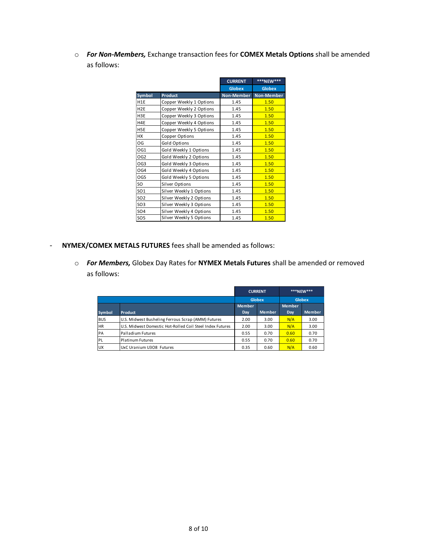o *For Non-Members,* Exchange transaction fees for **COMEX Metals Options** shall be amended as follows:

|                  |                         | <b>CURRENT</b>    | ***NEW***     |
|------------------|-------------------------|-------------------|---------------|
|                  |                         | <b>Globex</b>     | <b>Globex</b> |
| <b>Symbol</b>    | <b>Product</b>          | <b>Non-Member</b> | Non-Member    |
| H <sub>1</sub> E | Copper Weekly 1 Options | 1.45              | 1.50          |
| H <sub>2E</sub>  | Copper Weekly 2 Options | 1.45              | 1.50          |
| H3E              | Copper Weekly 3 Options | 1.45              | 1.50          |
| H4E              | Copper Weekly 4 Options | 1.45              | 1.50          |
| H5E              | Copper Weekly 5 Options | 1.45              | 1.50          |
| <b>HX</b>        | Copper Options          | 1.45              | 1.50          |
| OG               | Gold Options            | 1.45              | 1.50          |
| OG1              | Gold Weekly 1 Options   | 1.45              | 1.50          |
| OG <sub>2</sub>  | Gold Weekly 2 Options   | 1.45              | 1.50          |
| OG3              | Gold Weekly 3 Options   | 1.45              | 1.50          |
| OG4              | Gold Weekly 4 Options   | 1.45              | 1.50          |
| OG5              | Gold Weekly 5 Options   | 1.45              | 1.50          |
| SO               | Silver Options          | 1.45              | 1.50          |
| SO <sub>1</sub>  | Silver Weekly 1 Options | 1.45              | 1.50          |
| SO <sub>2</sub>  | Silver Weekly 2 Options | 1.45              | 1.50          |
| SO <sub>3</sub>  | Silver Weekly 3 Options | 1.45              | 1.50          |
| <b>SO4</b>       | Silver Weekly 4 Options | 1.45              | 1.50          |
| SO <sub>5</sub>  | Silver Weekly 5 Options | 1.45              | 1.50          |

- *-* **NYMEX/COMEX METALS FUTURES** fees shall be amended as follows:
	- o *For Members,* Globex Day Rates for **NYMEX Metals Futures** shall be amended or removed as follows:

|               | <b>CURRENT</b>                                            |                                |               | ***NEW***            |               |
|---------------|-----------------------------------------------------------|--------------------------------|---------------|----------------------|---------------|
|               |                                                           | <b>Globex</b><br><b>Globex</b> |               |                      |               |
| <b>Symbol</b> | <b>Product</b>                                            | <b>Member</b><br>Day           | <b>Member</b> | <b>Member</b><br>Day | <b>Member</b> |
| <b>BUS</b>    | U.S. Midwest Busheling Ferrous Scrap (AMM) Futures        | 2.00                           | 3.00          | N/A                  | 3.00          |
| <b>HR</b>     | U.S. Midwest Domestic Hot-Rolled Coil Steel Index Futures | 2.00                           | 3.00          | N/A                  | 3.00          |
| PA            | Palladium Futures                                         | 0.55                           | 0.70          | 0.60                 | 0.70          |
| <b>PL</b>     | <b>Platinum Futures</b>                                   | 0.55                           | 0.70          | 0.60                 | 0.70          |
| <b>UX</b>     | UxC Uranium U3O8 Futures                                  | 0.35                           | 0.60          | N/A                  | 0.60          |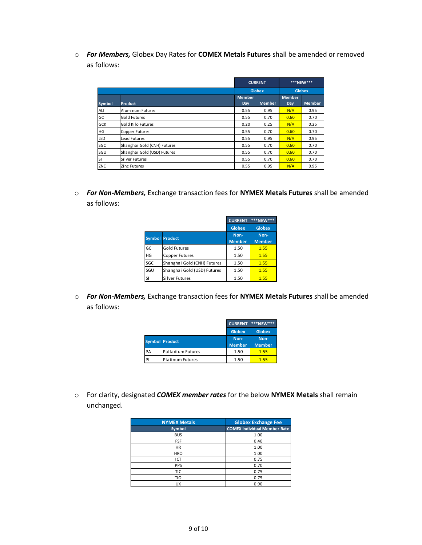o *For Members,* Globex Day Rates for **COMEX Metals Futures** shall be amended or removed as follows:

|            |                             | <b>CURRENT</b>                 |               | ***NEW***     |               |
|------------|-----------------------------|--------------------------------|---------------|---------------|---------------|
|            |                             | <b>Globex</b><br><b>Globex</b> |               |               |               |
|            |                             | <b>Member</b>                  |               | <b>Member</b> |               |
| Symbol     | <b>Product</b>              | Day                            | <b>Member</b> | Day           | <b>Member</b> |
| <b>ALI</b> | Aluminum Futures            | 0.55                           | 0.95          | N/A           | 0.95          |
| GC         | <b>Gold Futures</b>         | 0.55                           | 0.70          | 0.60          | 0.70          |
| <b>GCK</b> | Gold Kilo Futures           | 0.20                           | 0.25          | N/A           | 0.25          |
| HG         | <b>Copper Futures</b>       | 0.55                           | 0.70          | 0.60          | 0.70          |
| LED        | Lead Futures                | 0.55                           | 0.95          | N/A           | 0.95          |
| SGC        | Shanghai Gold (CNH) Futures | 0.55                           | 0.70          | 0.60          | 0.70          |
| SGU        | Shanghai Gold (USD) Futures | 0.55                           | 0.70          | 0.60          | 0.70          |
| <b>SI</b>  | <b>Silver Futures</b>       | 0.55                           | 0.70          | 0.60          | 0.70          |
| ZNC        | Zinc Futures                | 0.55                           | 0.95          | N/A           | 0.95          |

o *For Non-Members,* Exchange transaction fees for **NYMEX Metals Futures** shall be amended as follows:

|     |                             | <b>CURRENT</b>        | <b>***NEW***</b>      |  |
|-----|-----------------------------|-----------------------|-----------------------|--|
|     |                             | <b>Globex</b>         | <b>Globex</b>         |  |
|     | <b>Symbol Product</b>       | Non-<br><b>Member</b> | Non-<br><b>Member</b> |  |
| GC  | <b>Gold Futures</b>         | 1.50                  | 1.55                  |  |
| HG  | Copper Futures              | 1.50                  | 1.55                  |  |
| SGC | Shanghai Gold (CNH) Futures | 1.50                  | 1.55                  |  |
| SGU | Shanghai Gold (USD) Futures | 1.50                  | 1.55                  |  |
| lsı | Silver Futures              | 1.50                  | 1.55                  |  |

o *For Non-Members,* Exchange transaction fees for **NYMEX Metals Futures** shall be amended as follows:

|    |                         | <b>CURRENT</b> | ***NEW        |  |
|----|-------------------------|----------------|---------------|--|
|    |                         | <b>Globex</b>  | <b>Globex</b> |  |
|    | <b>Symbol Product</b>   | Non-           | Non-          |  |
|    |                         | <b>Member</b>  | <b>Member</b> |  |
| PA | Palladium Futures       | 1.50           | 1.55          |  |
| PL | <b>Platinum Futures</b> | 1.50           | 1.55          |  |

o For clarity, designated *COMEX member rates* for the below **NYMEX Metals** shall remain unchanged.

| <b>NYMEX Metals</b> | <b>Globex Exchange Fee</b>          |
|---------------------|-------------------------------------|
| Symbol              | <b>COMEX Individual Member Rate</b> |
| <b>BUS</b>          | 1.00                                |
| <b>FSF</b>          | 0.40                                |
| <b>HR</b>           | 1.00                                |
| <b>HRO</b>          | 1.00                                |
| ICT                 | 0.75                                |
| <b>PPS</b>          | 0.70                                |
| <b>TIC</b>          | 0.75                                |
| TIO                 | 0.75                                |
| <b>UX</b>           | 0.90                                |